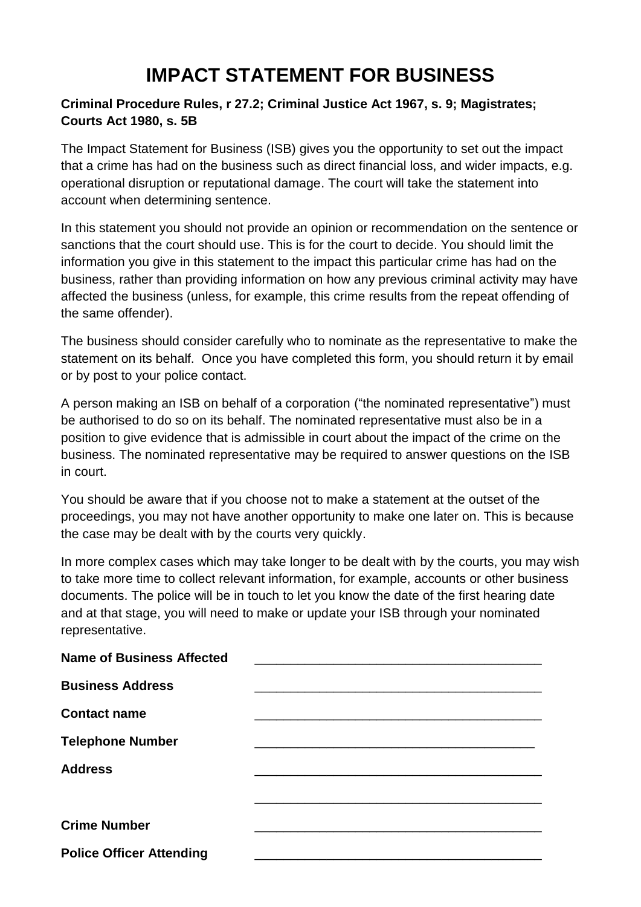# **IMPACT STATEMENT FOR BUSINESS**

### **Criminal Procedure Rules, r 27.2; Criminal Justice Act 1967, s. 9; Magistrates; Courts Act 1980, s. 5B**

The Impact Statement for Business (ISB) gives you the opportunity to set out the impact that a crime has had on the business such as direct financial loss, and wider impacts, e.g. operational disruption or reputational damage. The court will take the statement into account when determining sentence.

In this statement you should not provide an opinion or recommendation on the sentence or sanctions that the court should use. This is for the court to decide. You should limit the information you give in this statement to the impact this particular crime has had on the business, rather than providing information on how any previous criminal activity may have affected the business (unless, for example, this crime results from the repeat offending of the same offender).

The business should consider carefully who to nominate as the representative to make the statement on its behalf. Once you have completed this form, you should return it by email or by post to your police contact.

A person making an ISB on behalf of a corporation ("the nominated representative") must be authorised to do so on its behalf. The nominated representative must also be in a position to give evidence that is admissible in court about the impact of the crime on the business. The nominated representative may be required to answer questions on the ISB in court.

You should be aware that if you choose not to make a statement at the outset of the proceedings, you may not have another opportunity to make one later on. This is because the case may be dealt with by the courts very quickly.

In more complex cases which may take longer to be dealt with by the courts, you may wish to take more time to collect relevant information, for example, accounts or other business documents. The police will be in touch to let you know the date of the first hearing date and at that stage, you will need to make or update your ISB through your nominated representative.

| <b>Name of Business Affected</b> |  |
|----------------------------------|--|
| <b>Business Address</b>          |  |
| <b>Contact name</b>              |  |
| <b>Telephone Number</b>          |  |
| <b>Address</b>                   |  |
|                                  |  |
| <b>Crime Number</b>              |  |
| <b>Police Officer Attending</b>  |  |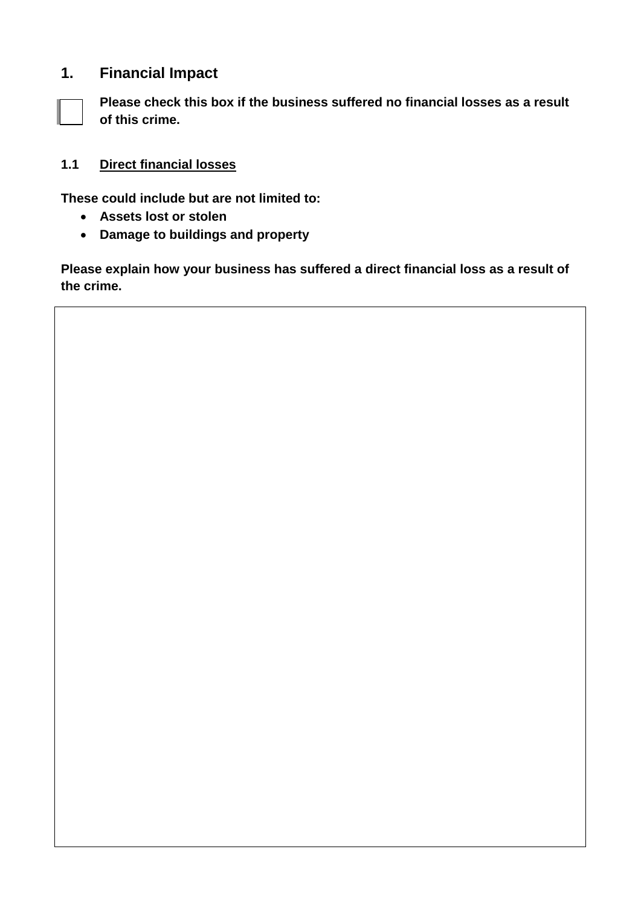## **1. Financial Impact**

**Please check this box if the business suffered no financial losses as a result of this crime.** 

### **1.1 Direct financial losses**

**These could include but are not limited to:** 

- **Assets lost or stolen**
- **Damage to buildings and property**

**Please explain how your business has suffered a direct financial loss as a result of the crime.**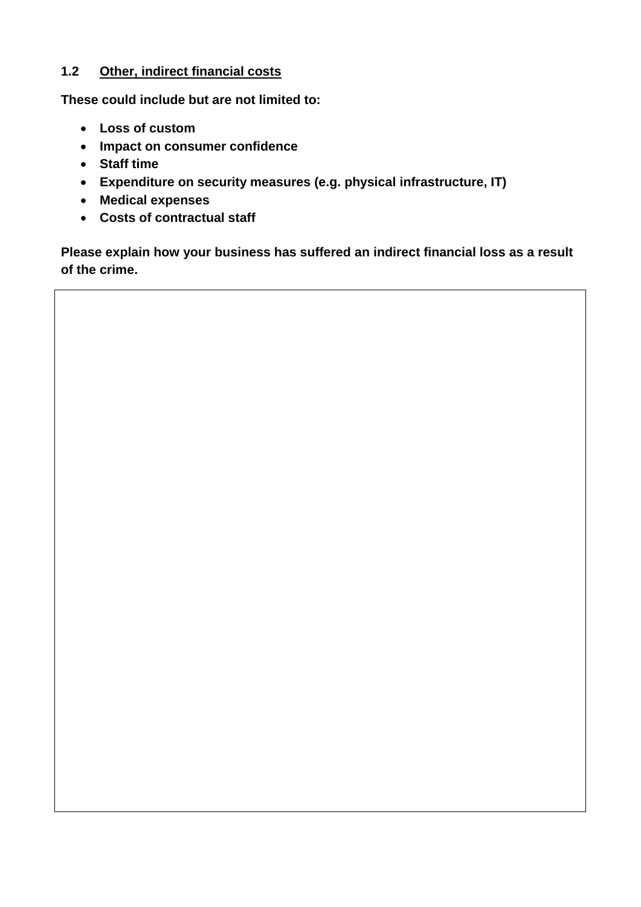#### **1.2 Other, indirect financial costs**

**These could include but are not limited to:** 

- **Loss of custom**
- **Impact on consumer confidence**
- **Staff time**
- **Expenditure on security measures (e.g. physical infrastructure, IT)**
- **Medical expenses**
- **Costs of contractual staff**

**Please explain how your business has suffered an indirect financial loss as a result of the crime.**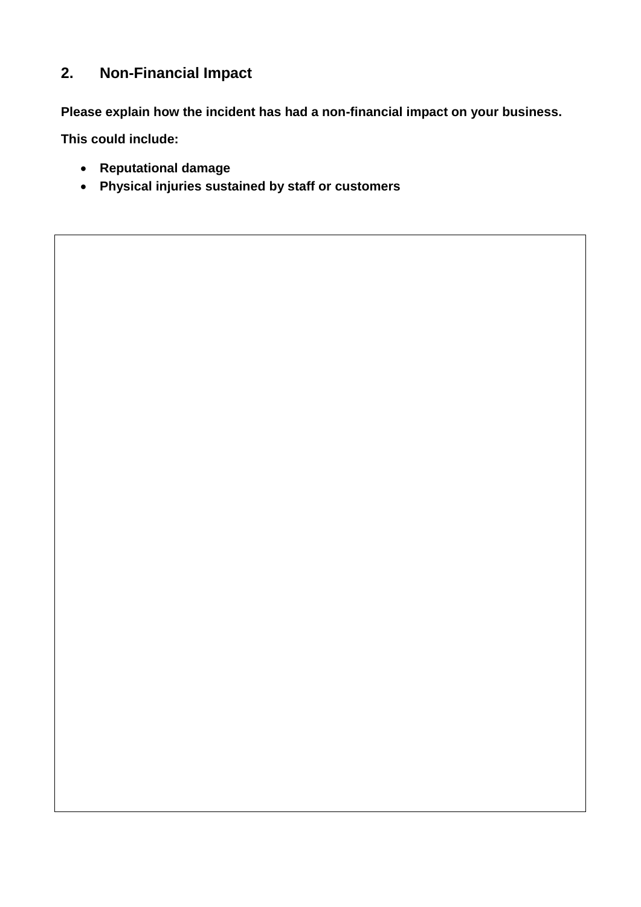## **2. Non-Financial Impact**

**Please explain how the incident has had a non-financial impact on your business.**

**This could include:** 

- **Reputational damage**
- **Physical injuries sustained by staff or customers**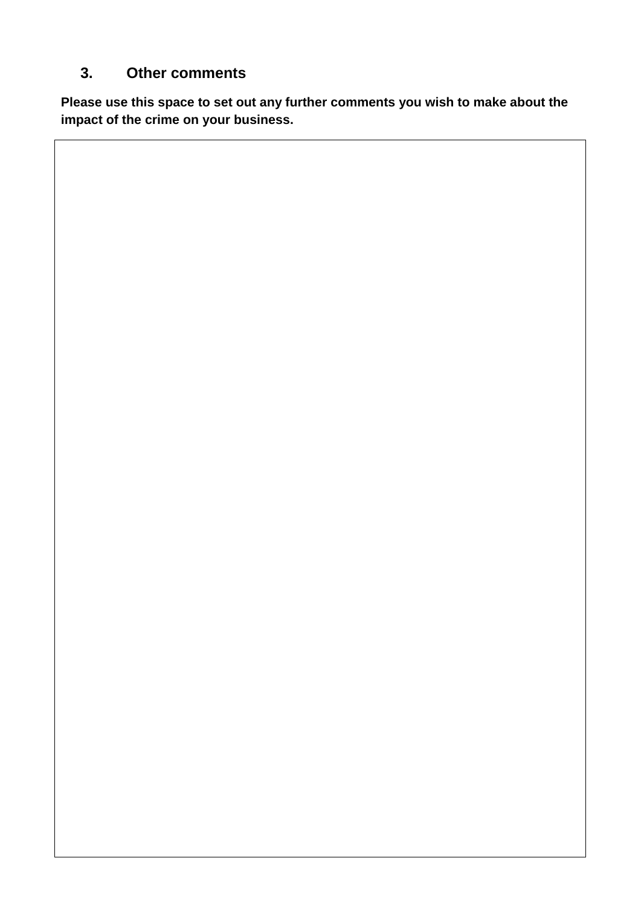## **3. Other comments**

**Please use this space to set out any further comments you wish to make about the impact of the crime on your business.**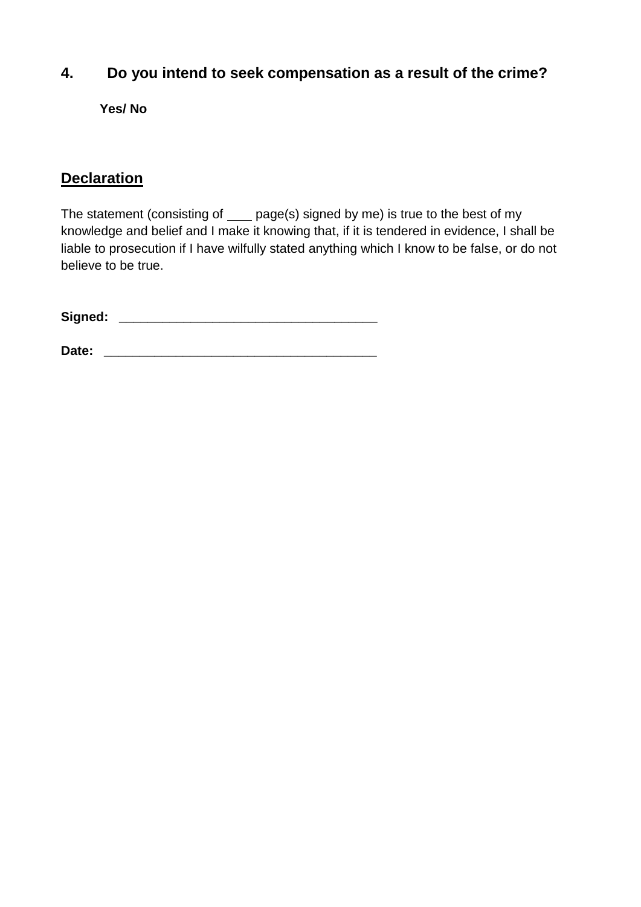## **4. Do you intend to seek compensation as a result of the crime?**

**Yes/ No**

## **Declaration**

The statement (consisting of \_\_\_\_ page(s) signed by me) is true to the best of my knowledge and belief and I make it knowing that, if it is tendered in evidence, I shall be liable to prosecution if I have wilfully stated anything which I know to be false, or do not believe to be true.

**Signed: \_\_\_\_\_\_\_\_\_\_\_\_\_\_\_\_\_\_\_\_\_\_\_\_\_\_\_\_\_\_\_\_\_\_\_\_**

**Date: \_\_\_\_\_\_\_\_\_\_\_\_\_\_\_\_\_\_\_\_\_\_\_\_\_\_\_\_\_\_\_\_\_\_\_\_\_\_**